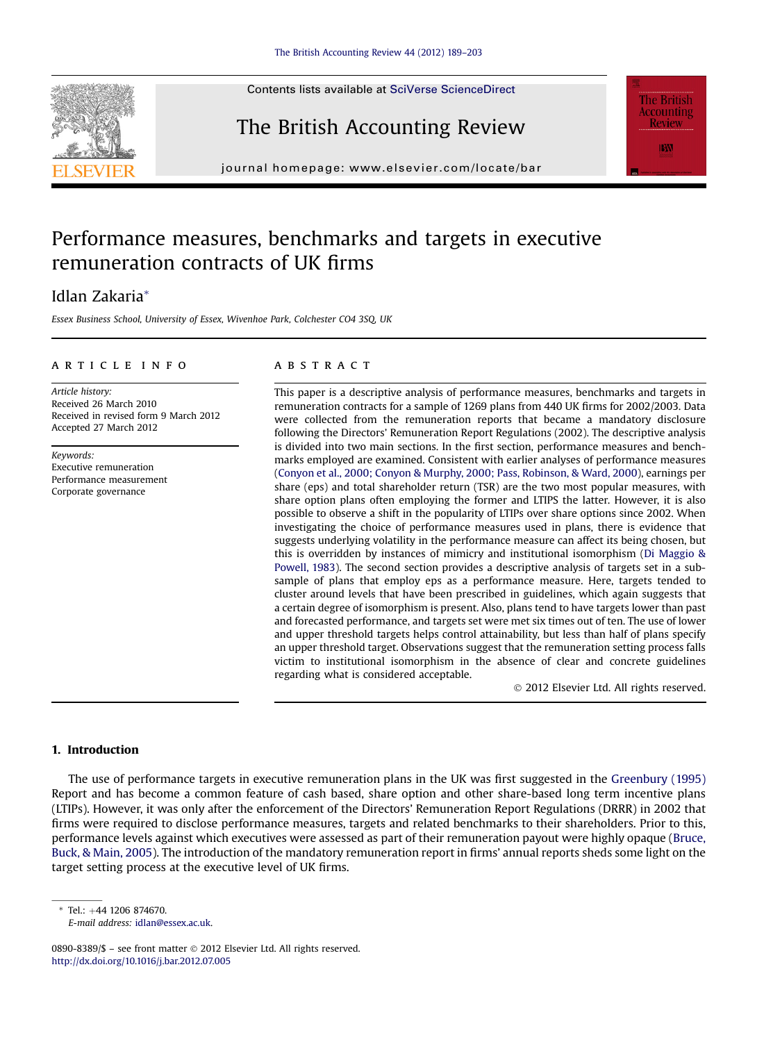## The British Accounting Review

 $j<sub>0</sub>$ 

### Performance measures, benchmarks and targets in executive remuneration contracts of UK firms

### Idlan Zakaria\*

Essex Business School, University of Essex, Wivenhoe Park, Colchester CO4 3SQ, UK

#### article info

Article history: Received 26 March 2010 Received in revised form 9 March 2012 Accepted 27 March 2012

Keywords: Executive remuneration Performance measurement Corporate governance

#### **ABSTRACT**

This paper is a descriptive analysis of performance measures, benchmarks and targets in remuneration contracts for a sample of 1269 plans from 440 UK firms for 2002/2003. Data were collected from the remuneration reports that became a mandatory disclosure following the Directors' Remuneration Report Regulations (2002). The descriptive analysis is divided into two main sections. In the first section, performance measures and benchmarks employed are examined. Consistent with earlier analyses of performance measures [\(Conyon et al., 2000; Conyon & Murphy, 2000; Pass, Robinson, & Ward, 2000](#page--1-0)), earnings per share (eps) and total shareholder return (TSR) are the two most popular measures, with share option plans often employing the former and LTIPS the latter. However, it is also possible to observe a shift in the popularity of LTIPs over share options since 2002. When investigating the choice of performance measures used in plans, there is evidence that suggests underlying volatility in the performance measure can affect its being chosen, but this is overridden by instances of mimicry and institutional isomorphism [\(Di Maggio &](#page--1-0) [Powell, 1983](#page--1-0)). The second section provides a descriptive analysis of targets set in a subsample of plans that employ eps as a performance measure. Here, targets tended to cluster around levels that have been prescribed in guidelines, which again suggests that a certain degree of isomorphism is present. Also, plans tend to have targets lower than past and forecasted performance, and targets set were met six times out of ten. The use of lower and upper threshold targets helps control attainability, but less than half of plans specify an upper threshold target. Observations suggest that the remuneration setting process falls victim to institutional isomorphism in the absence of clear and concrete guidelines regarding what is considered acceptable.

2012 Elsevier Ltd. All rights reserved.

#### 1. Introduction

The use of performance targets in executive remuneration plans in the UK was first suggested in the [Greenbury \(1995\)](#page--1-0) Report and has become a common feature of cash based, share option and other share-based long term incentive plans (LTIPs). However, it was only after the enforcement of the Directors' Remuneration Report Regulations (DRRR) in 2002 that firms were required to disclose performance measures, targets and related benchmarks to their shareholders. Prior to this, performance levels against which executives were assessed as part of their remuneration payout were highly opaque ([Bruce,](#page--1-0) [Buck, & Main, 2005\)](#page--1-0). The introduction of the mandatory remuneration report in firms' annual reports sheds some light on the target setting process at the executive level of UK firms.

 $*$  Tel.:  $+44$  1206 874670.

E-mail address: [idlan@essex.ac.uk](mailto:idlan@essex.ac.uk).





<sup>0890-8389/\$ -</sup> see front matter  $\odot$  2012 Elsevier Ltd. All rights reserved. <http://dx.doi.org/10.1016/j.bar.2012.07.005>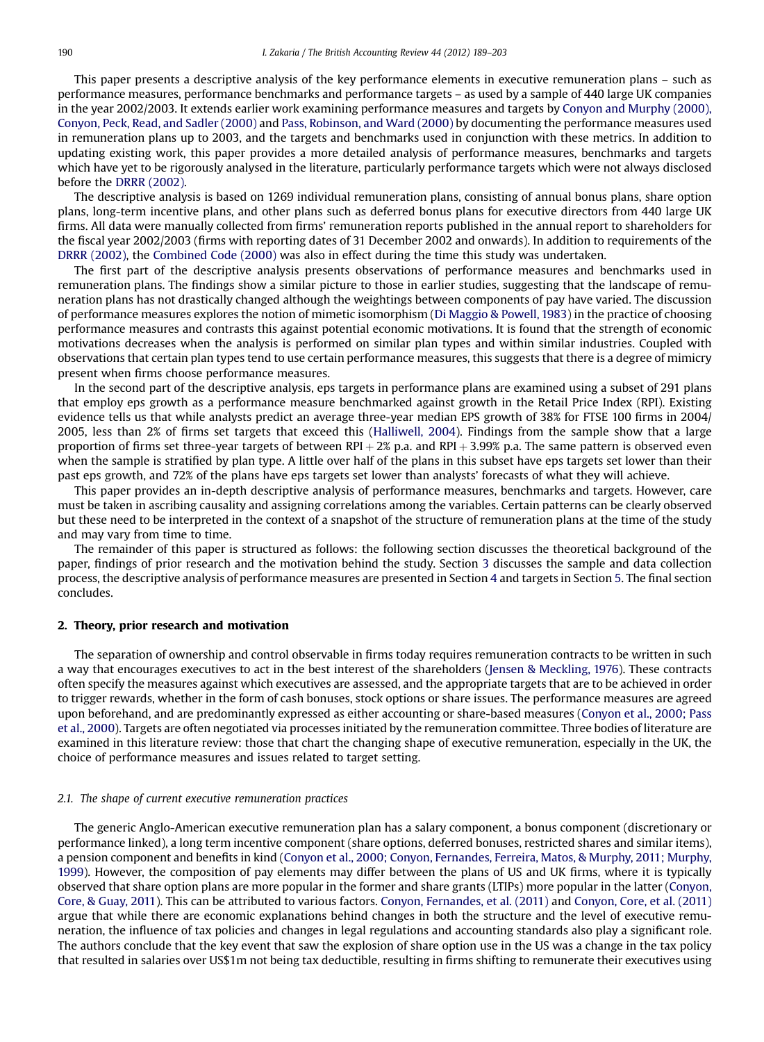This paper presents a descriptive analysis of the key performance elements in executive remuneration plans – such as performance measures, performance benchmarks and performance targets – as used by a sample of 440 large UK companies in the year 2002/2003. It extends earlier work examining performance measures and targets by [Conyon and Murphy \(2000\),](#page--1-0) [Conyon, Peck, Read, and Sadler \(2000\)](#page--1-0) and [Pass, Robinson, and Ward \(2000\)](#page--1-0) by documenting the performance measures used in remuneration plans up to 2003, and the targets and benchmarks used in conjunction with these metrics. In addition to updating existing work, this paper provides a more detailed analysis of performance measures, benchmarks and targets which have yet to be rigorously analysed in the literature, particularly performance targets which were not always disclosed before the [DRRR \(2002\)](#page--1-0).

The descriptive analysis is based on 1269 individual remuneration plans, consisting of annual bonus plans, share option plans, long-term incentive plans, and other plans such as deferred bonus plans for executive directors from 440 large UK firms. All data were manually collected from firms' remuneration reports published in the annual report to shareholders for the fiscal year 2002/2003 (firms with reporting dates of 31 December 2002 and onwards). In addition to requirements of the [DRRR \(2002\),](#page--1-0) the [Combined Code \(2000\)](#page--1-0) was also in effect during the time this study was undertaken.

The first part of the descriptive analysis presents observations of performance measures and benchmarks used in remuneration plans. The findings show a similar picture to those in earlier studies, suggesting that the landscape of remuneration plans has not drastically changed although the weightings between components of pay have varied. The discussion of performance measures explores the notion of mimetic isomorphism ([Di Maggio & Powell, 1983](#page--1-0)) in the practice of choosing performance measures and contrasts this against potential economic motivations. It is found that the strength of economic motivations decreases when the analysis is performed on similar plan types and within similar industries. Coupled with observations that certain plan types tend to use certain performance measures, this suggests that there is a degree of mimicry present when firms choose performance measures.

In the second part of the descriptive analysis, eps targets in performance plans are examined using a subset of 291 plans that employ eps growth as a performance measure benchmarked against growth in the Retail Price Index (RPI). Existing evidence tells us that while analysts predict an average three-year median EPS growth of 38% for FTSE 100 firms in 2004/ 2005, less than 2% of firms set targets that exceed this [\(Halliwell, 2004\)](#page--1-0). Findings from the sample show that a large proportion of firms set three-year targets of between RPI  $+ 2\%$  p.a. and RPI  $+ 3.99\%$  p.a. The same pattern is observed even when the sample is stratified by plan type. A little over half of the plans in this subset have eps targets set lower than their past eps growth, and 72% of the plans have eps targets set lower than analysts' forecasts of what they will achieve.

This paper provides an in-depth descriptive analysis of performance measures, benchmarks and targets. However, care must be taken in ascribing causality and assigning correlations among the variables. Certain patterns can be clearly observed but these need to be interpreted in the context of a snapshot of the structure of remuneration plans at the time of the study and may vary from time to time.

The remainder of this paper is structured as follows: the following section discusses the theoretical background of the paper, findings of prior research and the motivation behind the study. Section [3](#page--1-0) discusses the sample and data collection process, the descriptive analysis of performance measures are presented in Section [4](#page--1-0) and targets in Section [5.](#page--1-0) The final section concludes.

#### 2. Theory, prior research and motivation

The separation of ownership and control observable in firms today requires remuneration contracts to be written in such a way that encourages executives to act in the best interest of the shareholders ([Jensen & Meckling, 1976\)](#page--1-0). These contracts often specify the measures against which executives are assessed, and the appropriate targets that are to be achieved in order to trigger rewards, whether in the form of cash bonuses, stock options or share issues. The performance measures are agreed upon beforehand, and are predominantly expressed as either accounting or share-based measures [\(Conyon et al., 2000; Pass](#page--1-0) [et al., 2000\)](#page--1-0). Targets are often negotiated via processes initiated by the remuneration committee. Three bodies of literature are examined in this literature review: those that chart the changing shape of executive remuneration, especially in the UK, the choice of performance measures and issues related to target setting.

#### 2.1. The shape of current executive remuneration practices

The generic Anglo-American executive remuneration plan has a salary component, a bonus component (discretionary or performance linked), a long term incentive component (share options, deferred bonuses, restricted shares and similar items), a pension component and benefits in kind [\(Conyon et al., 2000; Conyon, Fernandes, Ferreira, Matos, & Murphy, 2011; Murphy,](#page--1-0) [1999\)](#page--1-0). However, the composition of pay elements may differ between the plans of US and UK firms, where it is typically observed that share option plans are more popular in the former and share grants (LTIPs) more popular in the latter [\(Conyon,](#page--1-0) [Core, & Guay, 2011](#page--1-0)). This can be attributed to various factors. [Conyon, Fernandes, et al. \(2011\)](#page--1-0) and [Conyon, Core, et al. \(2011\)](#page--1-0) argue that while there are economic explanations behind changes in both the structure and the level of executive remuneration, the influence of tax policies and changes in legal regulations and accounting standards also play a significant role. The authors conclude that the key event that saw the explosion of share option use in the US was a change in the tax policy that resulted in salaries over US\$1m not being tax deductible, resulting in firms shifting to remunerate their executives using